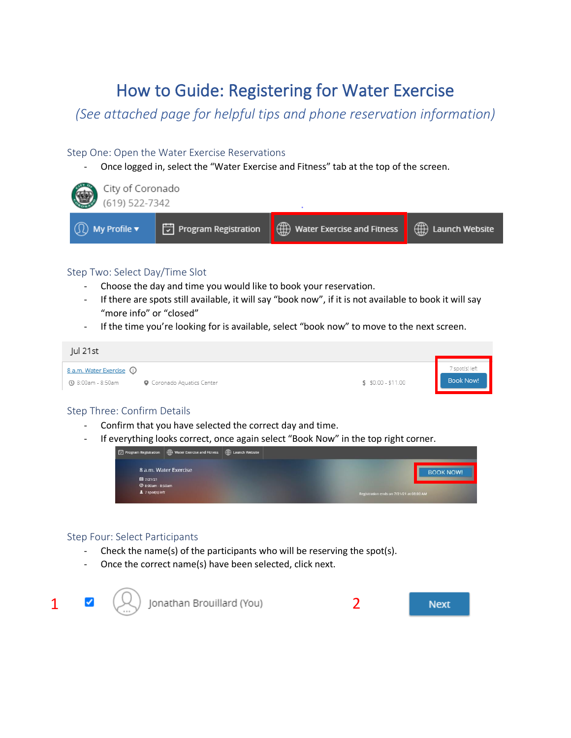### How to Guide: Registering for Water Exercise

*(See attached page for helpful tips and phone reservation information)*

#### Step One: Open the Water Exercise Reservations

Once logged in, select the "Water Exercise and Fitness" tab at the top of the screen.



#### Step Two: Select Day/Time Slot

- Choose the day and time you would like to book your reservation.
- If there are spots still available, it will say "book now", if it is not available to book it will say "more info" or "closed"
- If the time you're looking for is available, select "book now" to move to the next screen.



#### Step Three: Confirm Details

- Confirm that you have selected the correct day and time.
- If everything looks correct, once again select "Book Now" in the top right corner.

| Program Registration   water Exercise and Fitness   exploration Website |                                          |
|-------------------------------------------------------------------------|------------------------------------------|
| 8 a.m. Water Exercise                                                   | <b>BOOK NOW!</b>                         |
| ■ 7/21/21<br><b>Ø 8:00am - 8:50am</b>                                   |                                          |
| $2$ 7 spot(s) left                                                      | Registration ends on 7/21/21 at 08:00 AM |

#### Step Four: Select Participants

- Check the name(s) of the participants who will be reserving the spot(s).
- Once the correct name(s) have been selected, click next.

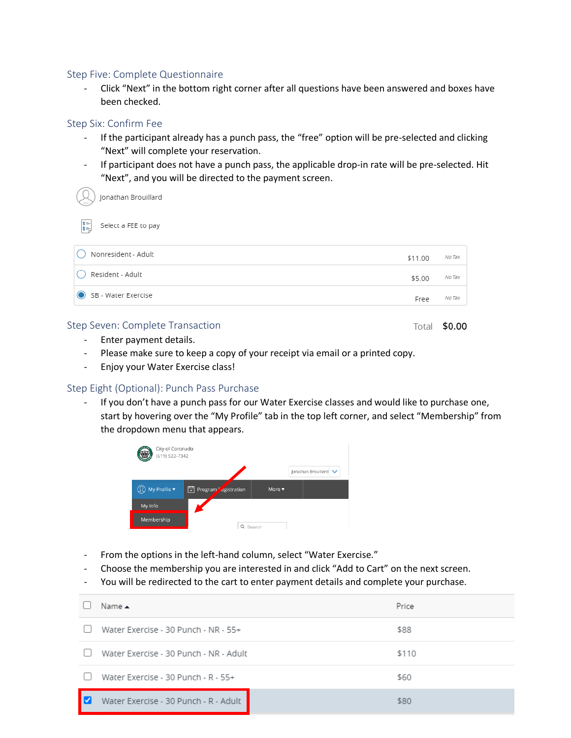#### Step Five: Complete Questionnaire

- Click "Next" in the bottom right corner after all questions have been answered and boxes have been checked.

#### Step Six: Confirm Fee

- If the participant already has a punch pass, the "free" option will be pre-selected and clicking "Next" will complete your reservation.
- If participant does not have a punch pass, the applicable drop-in rate will be pre-selected. Hit "Next", and you will be directed to the payment screen.

Jonathan Brouillard

| $\begin{bmatrix} \frac{1}{2} \\ \frac{1}{2} \\ \frac{1}{2} \end{bmatrix}$ | Select a FEE to pay |  |  |  |
|---------------------------------------------------------------------------|---------------------|--|--|--|
|---------------------------------------------------------------------------|---------------------|--|--|--|

| $\left( \quad \right)$ | Nonresident - Adult | \$11.00 | No Tax |
|------------------------|---------------------|---------|--------|
|                        | () Resident - Adult | \$5.00  | No Tax |
|                        | SB - Water Exercise | Free    | No Tax |

#### Step Seven: Complete Transaction

Total \$0.00

- Enter payment details.
- Please make sure to keep a copy of your receipt via email or a printed copy.
- Enjoy your Water Exercise class!

#### Step Eight (Optional): Punch Pass Purchase

If you don't have a punch pass for our Water Exercise classes and would like to purchase one, start by hovering over the "My Profile" tab in the top left corner, and select "Membership" from the dropdown menu that appears.



- From the options in the left-hand column, select "Water Exercise."
- Choose the membership you are interested in and click "Add to Cart" on the next screen.
- You will be redirected to the cart to enter payment details and complete your purchase.

| Name A                                 | Price |
|----------------------------------------|-------|
| Water Exercise - 30 Punch - NR - 55+   | \$88  |
| Water Exercise - 30 Punch - NR - Adult | \$110 |
| Water Exercise - 30 Punch - R - 55+    | \$60  |
| Water Exercise - 30 Punch - R - Adult  | \$80  |